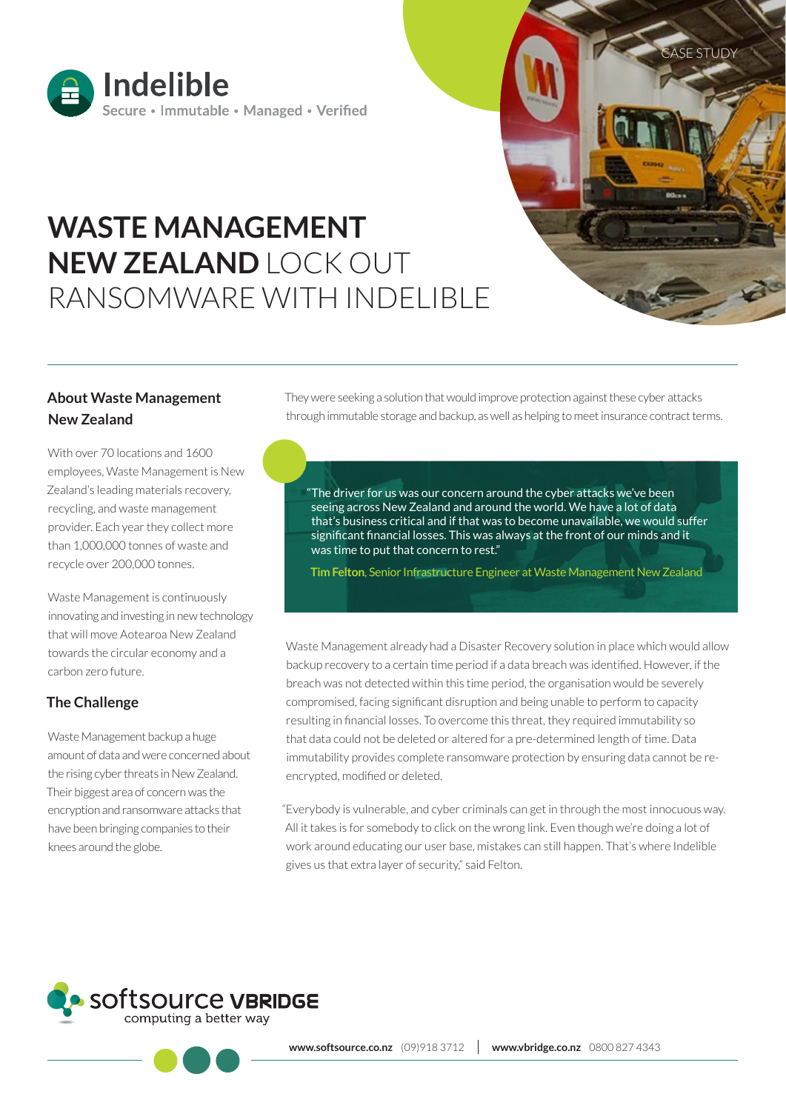

# **WASTE MANAGEMENT NEW ZEALAND** LOCK OUT RANSOMWARE WITH INDELIBLE

# **About Waste Management New Zealand**

With over 70 locations and 1600 employees, Waste Management is New Zealand's leading materials recovery, recycling, and waste management provider. Each year they collect more than 1,000,000 tonnes of waste and recycle over 200,000 tonnes.

Waste Management is continuously innovating and investing in new technology that will move Aotearoa New Zealand towards the circular economy and a carbon zero future.

### **The Challenge**

Waste Management backup a huge amount of data and were concerned about the rising cyber threats in New Zealand. Their biggest area of concern was the encryption and ransomware attacks that have been bringing companies to their knees around the globe.

They were seeking a solution that would improve protection against these cyber attacks through immutable storage and backup, as well as helping to meet insurance contract terms.

**SE STUDY** 

"The driver for us was our concern around the cyber attacks we've been seeing across New Zealand and around the world. We have a lot of data that's business critical and if that was to become unavailable, we would suffer significant financial losses. This was always at the front of our minds and it was time to put that concern to rest."

**Tim Felton**, Senior Infrastructure Engineer at Waste Management New Zealand

Waste Management already had a Disaster Recovery solution in place which would allow backup recovery to a certain time period if a data breach was identified. However, if the breach was not detected within this time period, the organisation would be severely compromised, facing significant disruption and being unable to perform to capacity resulting in financial losses. To overcome this threat, they required immutability so that data could not be deleted or altered for a pre-determined length of time. Data immutability provides complete ransomware protection by ensuring data cannot be reencrypted, modified or deleted.

"Everybody is vulnerable, and cyber criminals can get in through the most innocuous way. All it takes is for somebody to click on the wrong link. Even though we're doing a lot of work around educating our user base, mistakes can still happen. That's where Indelible gives us that extra layer of security," said Felton.